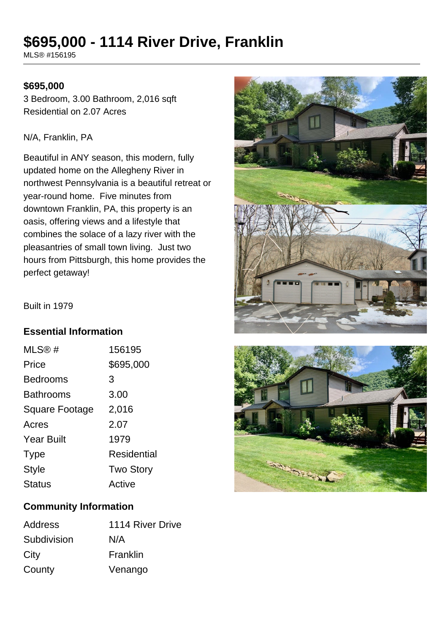# **\$695,000 - 1114 River Drive, Franklin**

MLS® #156195

#### **\$695,000**

3 Bedroom, 3.00 Bathroom, 2,016 sqft Residential on 2.07 Acres

#### N/A, Franklin, PA

Beautiful in ANY season, this modern, fully updated home on the Allegheny River in northwest Pennsylvania is a beautiful retreat or year-round home. Five minutes from downtown Franklin, PA, this property is an oasis, offering views and a lifestyle that combines the solace of a lazy river with the pleasantries of small town living. Just two hours from Pittsburgh, this home provides the perfect getaway!



Built in 1979

### **Essential Information**

| MLS@#                 | 156195           |
|-----------------------|------------------|
| Price                 | \$695,000        |
| <b>Bedrooms</b>       | 3                |
| <b>Bathrooms</b>      | 3.00             |
| <b>Square Footage</b> | 2,016            |
| Acres                 | 2.07             |
| <b>Year Built</b>     | 1979             |
| <b>Type</b>           | Residential      |
| <b>Style</b>          | <b>Two Story</b> |
| <b>Status</b>         | Active           |
|                       |                  |

## **Community Information**

| <b>Address</b> | 1114 River Drive |
|----------------|------------------|
| Subdivision    | N/A              |
| City           | Franklin         |
| County         | Venango          |